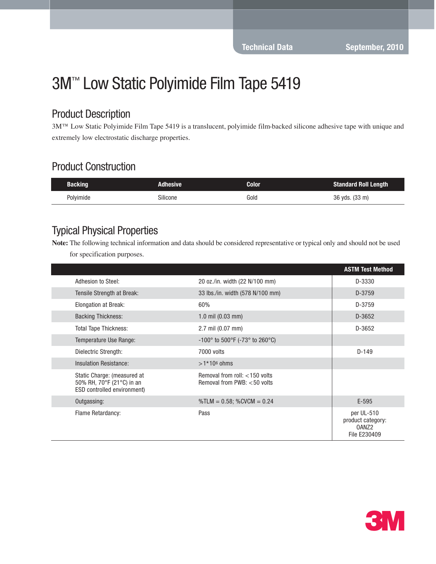# 3M™ Low Static Polyimide Film Tape 5419

#### Product Description

3M™ Low Static Polyimide Film Tape 5419 is a translucent, polyimide film-backed silicone adhesive tape with unique and extremely low electrostatic discharge properties.

## Product Construction

| <b>Backing</b> | Adhesive | Color | <b>Standard Roll Length</b> |
|----------------|----------|-------|-----------------------------|
| Polyimide      | Silicone | Gold  | 36 yds. (33 m)              |

#### Typical Physical Properties

**Note:** The following technical information and data should be considered representative or typical only and should not be used for specification purposes.

|                                                                                         |                                                                 | <b>ASTM Test Method</b>                                              |
|-----------------------------------------------------------------------------------------|-----------------------------------------------------------------|----------------------------------------------------------------------|
| Adhesion to Steel:                                                                      | 20 oz./in. width (22 N/100 mm)                                  | D-3330                                                               |
| Tensile Strength at Break:                                                              | 33 lbs./in. width (578 N/100 mm)                                | D-3759                                                               |
| <b>Elongation at Break:</b>                                                             | 60%                                                             | D-3759                                                               |
| <b>Backing Thickness:</b>                                                               | 1.0 mil $(0.03$ mm)                                             | D-3652                                                               |
| <b>Total Tape Thickness:</b>                                                            | 2.7 mil (0.07 mm)                                               | D-3652                                                               |
| Temperature Use Range:                                                                  | $-100^{\circ}$ to 500°F ( $-73^{\circ}$ to 260°C)               |                                                                      |
| Dielectric Strength:                                                                    | 7000 volts                                                      | $D-149$                                                              |
| Insulation Resistance:                                                                  | $>1*106$ ohms                                                   |                                                                      |
| Static Charge: (measured at<br>50% RH, 70°F (21°C) in an<br>ESD controlled environment) | Removal from roll: $<$ 150 volts<br>Removal from PWB: <50 volts |                                                                      |
| Outgassing:                                                                             | $\textdegree$ TLM = 0.58; $\textdegree$ CVCM = 0.24             | $E-595$                                                              |
| Flame Retardancy:                                                                       | Pass                                                            | per UL-510<br>product category:<br>0ANZ <sub>2</sub><br>File E230409 |

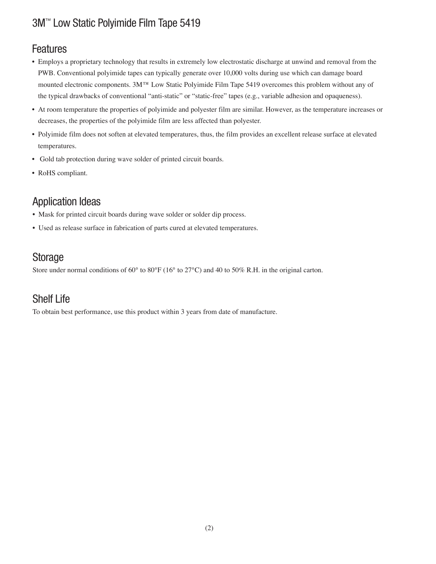# 3M™ Low Static Polyimide Film Tape 5419

#### Features

- Employs a proprietary technology that results in extremely low electrostatic discharge at unwind and removal from the PWB. Conventional polyimide tapes can typically generate over 10,000 volts during use which can damage board mounted electronic components. 3M™ Low Static Polyimide Film Tape 5419 overcomes this problem without any of the typical drawbacks of conventional "anti-static" or "static-free" tapes (e.g., variable adhesion and opaqueness).
- At room temperature the properties of polyimide and polyester film are similar. However, as the temperature increases or decreases, the properties of the polyimide film are less affected than polyester.
- Polyimide film does not soften at elevated temperatures, thus, the film provides an excellent release surface at elevated temperatures.
- Gold tab protection during wave solder of printed circuit boards.
- RoHS compliant.

# Application Ideas

- Mask for printed circuit boards during wave solder or solder dip process.
- Used as release surface in fabrication of parts cured at elevated temperatures.

## Storage

Store under normal conditions of 60° to 80°F (16° to 27°C) and 40 to 50% R.H. in the original carton.

## Shelf Life

To obtain best performance, use this product within 3 years from date of manufacture.